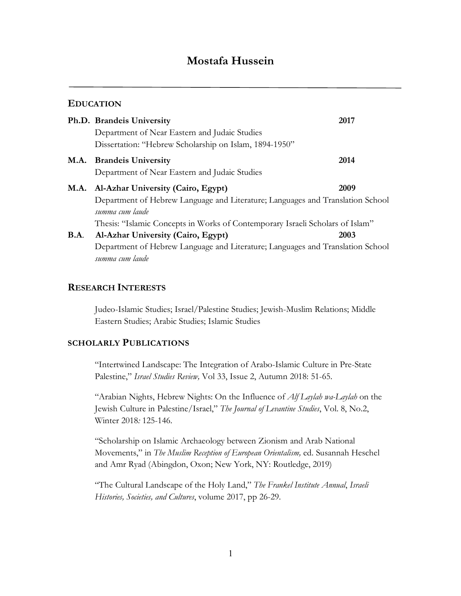# **Mostafa Hussein**

## **EDUCATION**

|             | Ph.D. Brandeis University<br>Department of Near Eastern and Judaic Studies<br>Dissertation: "Hebrew Scholarship on Islam, 1894-1950"                                                                                                  | 2017 |
|-------------|---------------------------------------------------------------------------------------------------------------------------------------------------------------------------------------------------------------------------------------|------|
|             | M.A. Brandeis University<br>Department of Near Eastern and Judaic Studies                                                                                                                                                             | 2014 |
|             | 2009<br>M.A. Al-Azhar University (Cairo, Egypt)<br>Department of Hebrew Language and Literature; Languages and Translation School<br>summa cum laude<br>Thesis: "Islamic Concepts in Works of Contemporary Israeli Scholars of Islam" |      |
| <b>B.A.</b> | Al-Azhar University (Cairo, Egypt)<br>Department of Hebrew Language and Literature; Languages and Translation School<br>summa cum laude                                                                                               | 2003 |

## **RESEARCH INTERESTS**

Judeo-Islamic Studies; Israel/Palestine Studies; Jewish-Muslim Relations; Middle Eastern Studies; Arabic Studies; Islamic Studies

#### **SCHOLARLY PUBLICATIONS**

"Intertwined Landscape: The Integration of Arabo-Islamic Culture in Pre-State Palestine," *Israel Studies Review,* Vol 33, Issue 2, Autumn 2018: 51-65.

"Arabian Nights, Hebrew Nights: On the Influence of *Alf Laylah wa-Laylah* on the Jewish Culture in Palestine/Israel," *The Journal of Levantine Studies*, Vol. 8, No.2, Winter 2018*:* 125-146.

"Scholarship on Islamic Archaeology between Zionism and Arab National Movements," in *The Muslim Reception of European Orientalism,* ed. Susannah Heschel and Amr Ryad (Abingdon, Oxon; New York, NY: Routledge, 2019)

"The Cultural Landscape of the Holy Land," *The Frankel Institute Annual*, *Israeli Histories, Societies, and Cultures*, volume 2017, pp 26-29.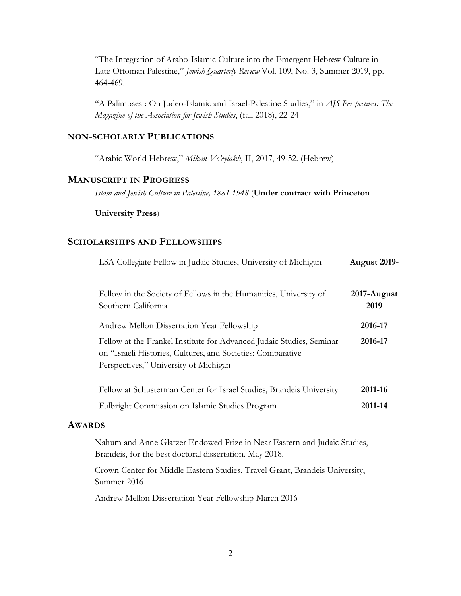"The Integration of Arabo-Islamic Culture into the Emergent Hebrew Culture in Late Ottoman Palestine," *Jewish Quarterly Review* Vol. 109, No. 3, Summer 2019, pp. 464-469.

"A Palimpsest: On Judeo-Islamic and Israel-Palestine Studies," in *AJS Perspectives: The Magazine of the Association for Jewish Studies*, (fall 2018), 22-24

## **NON-SCHOLARLY PUBLICATIONS**

"Arabic World Hebrew," *Mikan Ve'eylakh*, II, 2017, 49-52. (Hebrew)

## **MANUSCRIPT IN PROGRESS**

*Islam and Jewish Culture in Palestine, 1881-1948* (**Under contract with Princeton** 

#### **University Press**)

## **SCHOLARSHIPS AND FELLOWSHIPS**

| LSA Collegiate Fellow in Judaic Studies, University of Michigan                                                                                                              | <b>August 2019-</b> |
|------------------------------------------------------------------------------------------------------------------------------------------------------------------------------|---------------------|
| Fellow in the Society of Fellows in the Humanities, University of<br>Southern California                                                                                     | 2017-August<br>2019 |
| Andrew Mellon Dissertation Year Fellowship                                                                                                                                   | 2016-17             |
| Fellow at the Frankel Institute for Advanced Judaic Studies, Seminar<br>on "Israeli Histories, Cultures, and Societies: Comparative<br>Perspectives," University of Michigan | 2016-17             |
| Fellow at Schusterman Center for Israel Studies, Brandeis University                                                                                                         | 2011-16             |
| Fulbright Commission on Islamic Studies Program                                                                                                                              | 2011-14             |

#### **AWARDS**

Nahum and Anne Glatzer Endowed Prize in Near Eastern and Judaic Studies, Brandeis, for the best doctoral dissertation. May 2018.

Crown Center for Middle Eastern Studies, Travel Grant, Brandeis University, Summer 2016

Andrew Mellon Dissertation Year Fellowship March 2016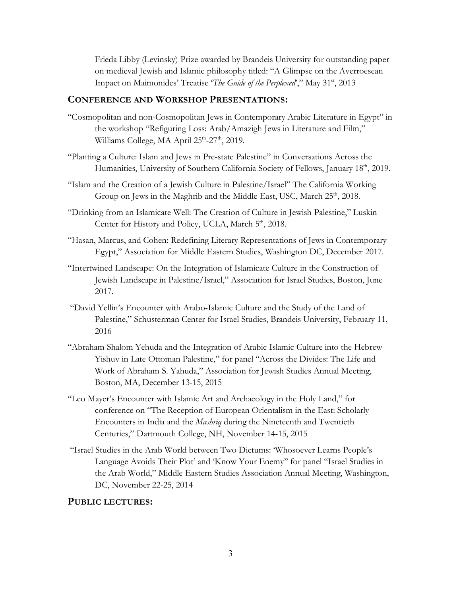Frieda Libby (Levinsky) Prize awarded by Brandeis University for outstanding paper on medieval Jewish and Islamic philosophy titled: "A Glimpse on the Averroesean Impact on Maimonides' Treatise '*The Guide of the Perplexed*'," May 31st, 2013

## **CONFERENCE AND WORKSHOP PRESENTATIONS:**

- "Cosmopolitan and non-Cosmopolitan Jews in Contemporary Arabic Literature in Egypt" in the workshop "Refiguring Loss: Arab/Amazigh Jews in Literature and Film," Williams College, MA April  $25<sup>th</sup>$ -27<sup>th</sup>, 2019.
- "Planting a Culture: Islam and Jews in Pre-state Palestine" in Conversations Across the Humanities, University of Southern California Society of Fellows, January 18<sup>th</sup>, 2019.
- "Islam and the Creation of a Jewish Culture in Palestine/Israel" The California Working Group on Jews in the Maghrib and the Middle East, USC, March 25<sup>th</sup>, 2018.
- "Drinking from an Islamicate Well: The Creation of Culture in Jewish Palestine," Luskin Center for History and Policy, UCLA, March 5<sup>th</sup>, 2018.
- "Hasan, Marcus, and Cohen: Redefining Literary Representations of Jews in Contemporary Egypt," Association for Middle Eastern Studies, Washington DC, December 2017.
- "Intertwined Landscape: On the Integration of Islamicate Culture in the Construction of Jewish Landscape in Palestine/Israel," Association for Israel Studies, Boston, June 2017.
- "David Yellin's Encounter with Arabo-Islamic Culture and the Study of the Land of Palestine," Schusterman Center for Israel Studies, Brandeis University, February 11, 2016
- "Abraham Shalom Yehuda and the Integration of Arabic Islamic Culture into the Hebrew Yishuv in Late Ottoman Palestine," for panel "Across the Divides: The Life and Work of Abraham S. Yahuda," Association for Jewish Studies Annual Meeting, Boston, MA, December 13-15, 2015
- "Leo Mayer's Encounter with Islamic Art and Archaeology in the Holy Land," for conference on "The Reception of European Orientalism in the East: Scholarly Encounters in India and the *Mashriq* during the Nineteenth and Twentieth Centuries," Dartmouth College, NH, November 14-15, 2015
- "Israel Studies in the Arab World between Two Dictums: 'Whosoever Learns People's Language Avoids Their Plot' and 'Know Your Enemy'' for panel "Israel Studies in the Arab World," Middle Eastern Studies Association Annual Meeting, Washington, DC, November 22-25, 2014

#### **PUBLIC LECTURES:**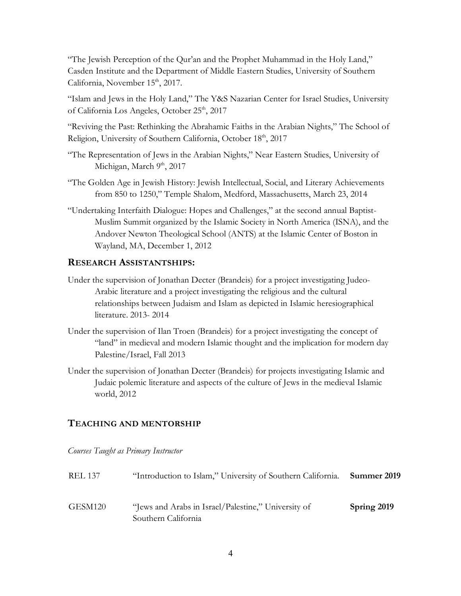"The Jewish Perception of the Qur'an and the Prophet Muhammad in the Holy Land," Casden Institute and the Department of Middle Eastern Studies, University of Southern California, November 15<sup>th</sup>, 2017.

"Islam and Jews in the Holy Land," The Y&S Nazarian Center for Israel Studies, University of California Los Angeles, October 25<sup>th</sup>, 2017

"Reviving the Past: Rethinking the Abrahamic Faiths in the Arabian Nights," The School of Religion, University of Southern California, October 18th, 2017

- "The Representation of Jews in the Arabian Nights," Near Eastern Studies, University of Michigan, March 9<sup>th</sup>, 2017
- "The Golden Age in Jewish History: Jewish Intellectual, Social, and Literary Achievements from 850 to 1250," Temple Shalom, Medford, Massachusetts, March 23, 2014
- "Undertaking Interfaith Dialogue: Hopes and Challenges," at the second annual Baptist-Muslim Summit organized by the Islamic Society in North America (ISNA), and the Andover Newton Theological School (ANTS) at the Islamic Center of Boston in Wayland, MA, December 1, 2012

## **RESEARCH ASSISTANTSHIPS:**

- Under the supervision of Jonathan Decter (Brandeis) for a project investigating Judeo-Arabic literature and a project investigating the religious and the cultural relationships between Judaism and Islam as depicted in Islamic heresiographical literature. 2013- 2014
- Under the supervision of Ilan Troen (Brandeis) for a project investigating the concept of "land" in medieval and modern Islamic thought and the implication for modern day Palestine/Israel, Fall 2013
- Under the supervision of Jonathan Decter (Brandeis) for projects investigating Islamic and Judaic polemic literature and aspects of the culture of Jews in the medieval Islamic world, 2012

#### **TEACHING AND MENTORSHIP**

*Courses Taught as Primary Instructor*

| <b>REL 137</b> | "Introduction to Islam," University of Southern California. Summer 2019    |             |
|----------------|----------------------------------------------------------------------------|-------------|
| GESM120        | "Jews and Arabs in Israel/Palestine," University of<br>Southern California | Spring 2019 |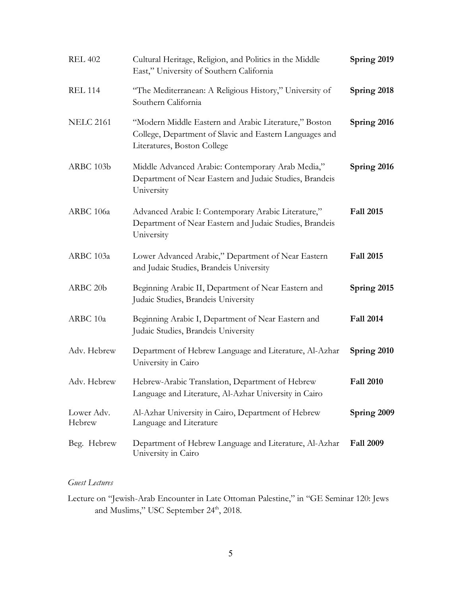| <b>REL 402</b>       | Cultural Heritage, Religion, and Politics in the Middle<br>East," University of Southern California                                             | Spring 2019      |
|----------------------|-------------------------------------------------------------------------------------------------------------------------------------------------|------------------|
| <b>REL 114</b>       | "The Mediterranean: A Religious History," University of<br>Southern California                                                                  | Spring 2018      |
| <b>NELC 2161</b>     | "Modern Middle Eastern and Arabic Literature," Boston<br>College, Department of Slavic and Eastern Languages and<br>Literatures, Boston College | Spring 2016      |
| ARBC 103b            | Middle Advanced Arabic: Contemporary Arab Media,"<br>Department of Near Eastern and Judaic Studies, Brandeis<br>University                      | Spring 2016      |
| ARBC 106a            | Advanced Arabic I: Contemporary Arabic Literature,"<br>Department of Near Eastern and Judaic Studies, Brandeis<br>University                    | <b>Fall 2015</b> |
| ARBC 103a            | Lower Advanced Arabic," Department of Near Eastern<br>and Judaic Studies, Brandeis University                                                   | <b>Fall 2015</b> |
| ARBC 20b             | Beginning Arabic II, Department of Near Eastern and<br>Judaic Studies, Brandeis University                                                      | Spring 2015      |
| ARBC 10a             | Beginning Arabic I, Department of Near Eastern and<br>Judaic Studies, Brandeis University                                                       | <b>Fall 2014</b> |
| Adv. Hebrew          | Department of Hebrew Language and Literature, Al-Azhar<br>University in Cairo                                                                   | Spring 2010      |
| Adv. Hebrew          | Hebrew-Arabic Translation, Department of Hebrew<br>Language and Literature, Al-Azhar University in Cairo                                        | <b>Fall 2010</b> |
| Lower Adv.<br>Hebrew | Al-Azhar University in Cairo, Department of Hebrew<br>Language and Literature                                                                   | Spring 2009      |
| Beg. Hebrew          | Department of Hebrew Language and Literature, Al-Azhar<br>University in Cairo                                                                   | <b>Fall 2009</b> |

## *Guest Lectures*

Lecture on "Jewish-Arab Encounter in Late Ottoman Palestine," in "GE Seminar 120: Jews and Muslims," USC September 24<sup>th</sup>, 2018.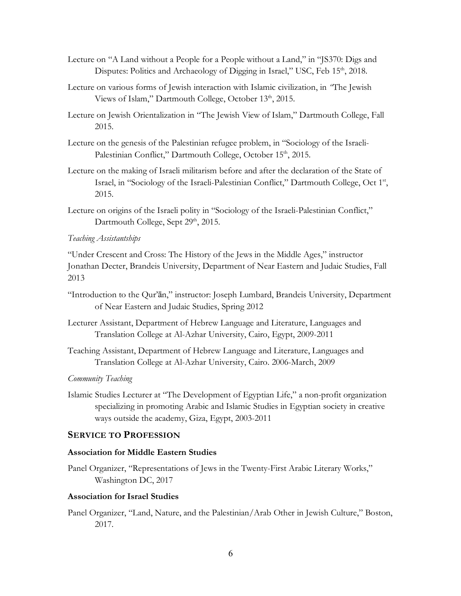- Lecture on "A Land without a People for a People without a Land," in "JS370: Digs and Disputes: Politics and Archaeology of Digging in Israel," USC, Feb 15<sup>th</sup>, 2018.
- Lecture on various forms of Jewish interaction with Islamic civilization, in *"*The Jewish Views of Islam," Dartmouth College, October 13<sup>th</sup>, 2015.
- Lecture on Jewish Orientalization in "The Jewish View of Islam," Dartmouth College, Fall 2015.
- Lecture on the genesis of the Palestinian refugee problem, in "Sociology of the Israeli-Palestinian Conflict," Dartmouth College, October 15<sup>th</sup>, 2015.
- Lecture on the making of Israeli militarism before and after the declaration of the State of Israel, in "Sociology of the Israeli-Palestinian Conflict," Dartmouth College, Oct 1st, 2015.
- Lecture on origins of the Israeli polity in "Sociology of the Israeli-Palestinian Conflict," Dartmouth College, Sept 29<sup>th</sup>, 2015.

#### *Teaching Assistantships*

"Under Crescent and Cross: The History of the Jews in the Middle Ages," instructor Jonathan Decter, Brandeis University, Department of Near Eastern and Judaic Studies, Fall 2013

- "Introduction to the Qur'ān," instructor: Joseph Lumbard, Brandeis University, Department of Near Eastern and Judaic Studies, Spring 2012
- Lecturer Assistant, Department of Hebrew Language and Literature, Languages and Translation College at Al-Azhar University, Cairo, Egypt, 2009-2011
- Teaching Assistant, Department of Hebrew Language and Literature, Languages and Translation College at Al-Azhar University, Cairo. 2006-March, 2009

#### *Community Teaching*

Islamic Studies Lecturer at "The Development of Egyptian Life," a non-profit organization specializing in promoting Arabic and Islamic Studies in Egyptian society in creative ways outside the academy, Giza, Egypt, 2003-2011

### **SERVICE TO PROFESSION**

#### **Association for Middle Eastern Studies**

Panel Organizer, "Representations of Jews in the Twenty-First Arabic Literary Works," Washington DC, 2017

#### **Association for Israel Studies**

Panel Organizer, "Land, Nature, and the Palestinian/Arab Other in Jewish Culture," Boston, 2017.